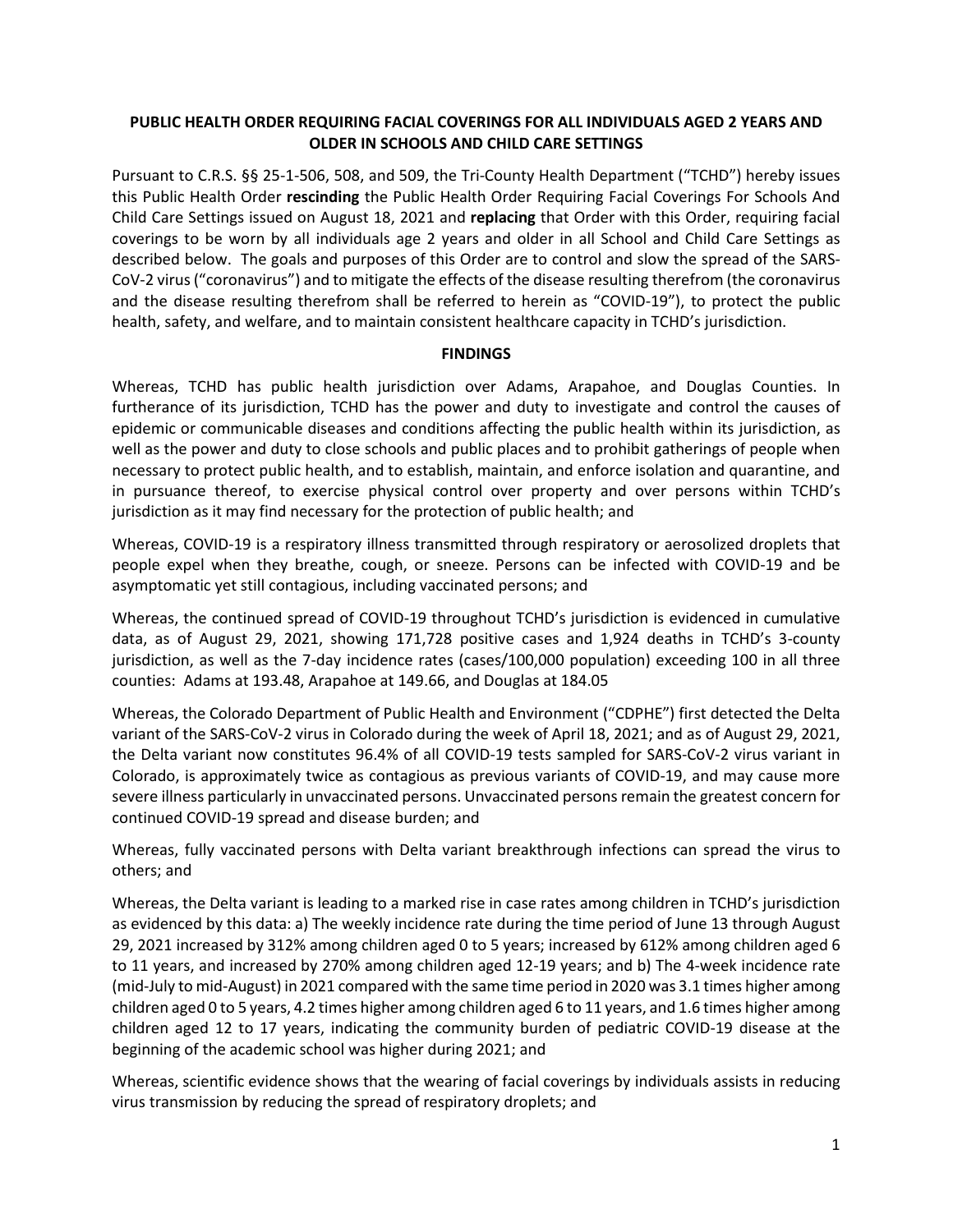# **PUBLIC HEALTH ORDER REQUIRING FACIAL COVERINGS FOR ALL INDIVIDUALS AGED 2 YEARS AND OLDER IN SCHOOLS AND CHILD CARE SETTINGS**

Pursuant to C.R.S. §§ 25-1-506, 508, and 509, the Tri-County Health Department ("TCHD") hereby issues this Public Health Order **rescinding** the Public Health Order Requiring Facial Coverings For Schools And Child Care Settings issued on August 18, 2021 and **replacing** that Order with this Order, requiring facial coverings to be worn by all individuals age 2 years and older in all School and Child Care Settings as described below. The goals and purposes of this Order are to control and slow the spread of the SARS-CoV-2 virus ("coronavirus") and to mitigate the effects of the disease resulting therefrom (the coronavirus and the disease resulting therefrom shall be referred to herein as "COVID-19"), to protect the public health, safety, and welfare, and to maintain consistent healthcare capacity in TCHD's jurisdiction.

#### **FINDINGS**

Whereas, TCHD has public health jurisdiction over Adams, Arapahoe, and Douglas Counties. In furtherance of its jurisdiction, TCHD has the power and duty to investigate and control the causes of epidemic or communicable diseases and conditions affecting the public health within its jurisdiction, as well as the power and duty to close schools and public places and to prohibit gatherings of people when necessary to protect public health, and to establish, maintain, and enforce isolation and quarantine, and in pursuance thereof, to exercise physical control over property and over persons within TCHD's jurisdiction as it may find necessary for the protection of public health; and

Whereas, COVID-19 is a respiratory illness transmitted through respiratory or aerosolized droplets that people expel when they breathe, cough, or sneeze. Persons can be infected with COVID-19 and be asymptomatic yet still contagious, including vaccinated persons; and

Whereas, the continued spread of COVID-19 throughout TCHD's jurisdiction is evidenced in cumulative data, as of August 29, 2021, showing 171,728 positive cases and 1,924 deaths in TCHD's 3-county jurisdiction, as well as the 7-day incidence rates (cases/100,000 population) exceeding 100 in all three counties: Adams at 193.48, Arapahoe at 149.66, and Douglas at 184.05

Whereas, the Colorado Department of Public Health and Environment ("CDPHE") first detected the Delta variant of the SARS-CoV-2 virus in Colorado during the week of April 18, 2021; and as of August 29, 2021, the Delta variant now constitutes 96.4% of all COVID-19 tests sampled for SARS-CoV-2 virus variant in Colorado, is approximately twice as contagious as previous variants of COVID-19, and may cause more severe illness particularly in unvaccinated persons. Unvaccinated persons remain the greatest concern for continued COVID-19 spread and disease burden; and

Whereas, fully vaccinated persons with Delta variant breakthrough infections can spread the virus to others; and

Whereas, the Delta variant is leading to a marked rise in case rates among children in TCHD's jurisdiction as evidenced by this data: a) The weekly incidence rate during the time period of June 13 through August 29, 2021 increased by 312% among children aged 0 to 5 years; increased by 612% among children aged 6 to 11 years, and increased by 270% among children aged 12-19 years; and b) The 4-week incidence rate (mid-July to mid-August) in 2021 compared with the same time period in 2020 was 3.1 times higher among children aged 0 to 5 years, 4.2 times higher among children aged 6 to 11 years, and 1.6 times higher among children aged 12 to 17 years, indicating the community burden of pediatric COVID-19 disease at the beginning of the academic school was higher during 2021; and

Whereas, scientific evidence shows that the wearing of facial coverings by individuals assists in reducing virus transmission by reducing the spread of respiratory droplets; and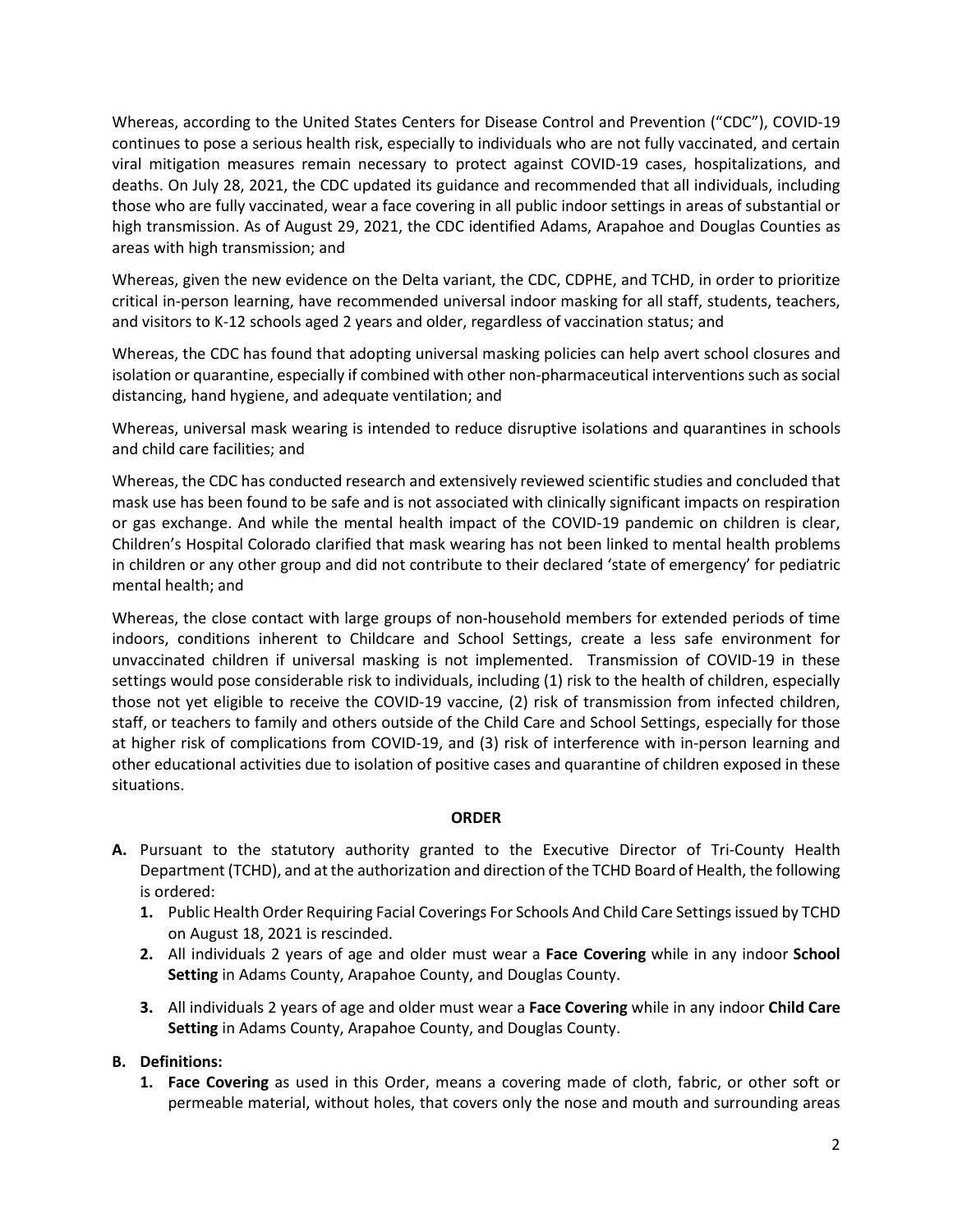Whereas, according to the United States Centers for Disease Control and Prevention ("CDC"), COVID-19 continues to pose a serious health risk, especially to individuals who are not fully vaccinated, and certain viral mitigation measures remain necessary to protect against COVID-19 cases, hospitalizations, and deaths. On July 28, 2021, the CDC updated its guidance and recommended that all individuals, including those who are fully vaccinated, wear a face covering in all public indoor settings in areas of substantial or high transmission. As of August 29, 2021, the CDC identified Adams, Arapahoe and Douglas Counties as areas with high transmission; and

Whereas, given the new evidence on the Delta variant, the CDC, CDPHE, and TCHD, in order to prioritize critical in-person learning, have recommended universal indoor masking for all staff, students, teachers, and visitors to K-12 schools aged 2 years and older, regardless of vaccination status; and

Whereas, the CDC has found that adopting universal masking policies can help avert school closures and isolation or quarantine, especially if combined with other non-pharmaceutical interventions such as social distancing, hand hygiene, and adequate ventilation; and

Whereas, universal mask wearing is intended to reduce disruptive isolations and quarantines in schools and child care facilities; and

Whereas, the CDC has conducted research and extensively reviewed scientific studies and concluded that mask use has been found to be safe and is not associated with clinically significant impacts on respiration or gas exchange. And while the mental health impact of the COVID-19 pandemic on children is clear, Children's Hospital Colorado clarified that mask wearing has not been linked to mental health problems in children or any other group and did not contribute to their declared 'state of emergency' for pediatric mental health; and

Whereas, the close contact with large groups of non-household members for extended periods of time indoors, conditions inherent to Childcare and School Settings, create a less safe environment for unvaccinated children if universal masking is not implemented. Transmission of COVID-19 in these settings would pose considerable risk to individuals, including (1) risk to the health of children, especially those not yet eligible to receive the COVID-19 vaccine, (2) risk of transmission from infected children, staff, or teachers to family and others outside of the Child Care and School Settings, especially for those at higher risk of complications from COVID-19, and (3) risk of interference with in-person learning and other educational activities due to isolation of positive cases and quarantine of children exposed in these situations.

## **ORDER**

- **A.** Pursuant to the statutory authority granted to the Executive Director of Tri-County Health Department (TCHD), and at the authorization and direction of the TCHD Board of Health, the following is ordered:
	- **1.** Public Health Order Requiring Facial Coverings For Schools And Child Care Settings issued by TCHD on August 18, 2021 is rescinded.
	- **2.** All individuals 2 years of age and older must wear a **Face Covering** while in any indoor **School Setting** in Adams County, Arapahoe County, and Douglas County.
	- **3.** All individuals 2 years of age and older must wear a **Face Covering** while in any indoor **Child Care Setting** in Adams County, Arapahoe County, and Douglas County.

## **B. Definitions:**

**1. Face Covering** as used in this Order, means a covering made of cloth, fabric, or other soft or permeable material, without holes, that covers only the nose and mouth and surrounding areas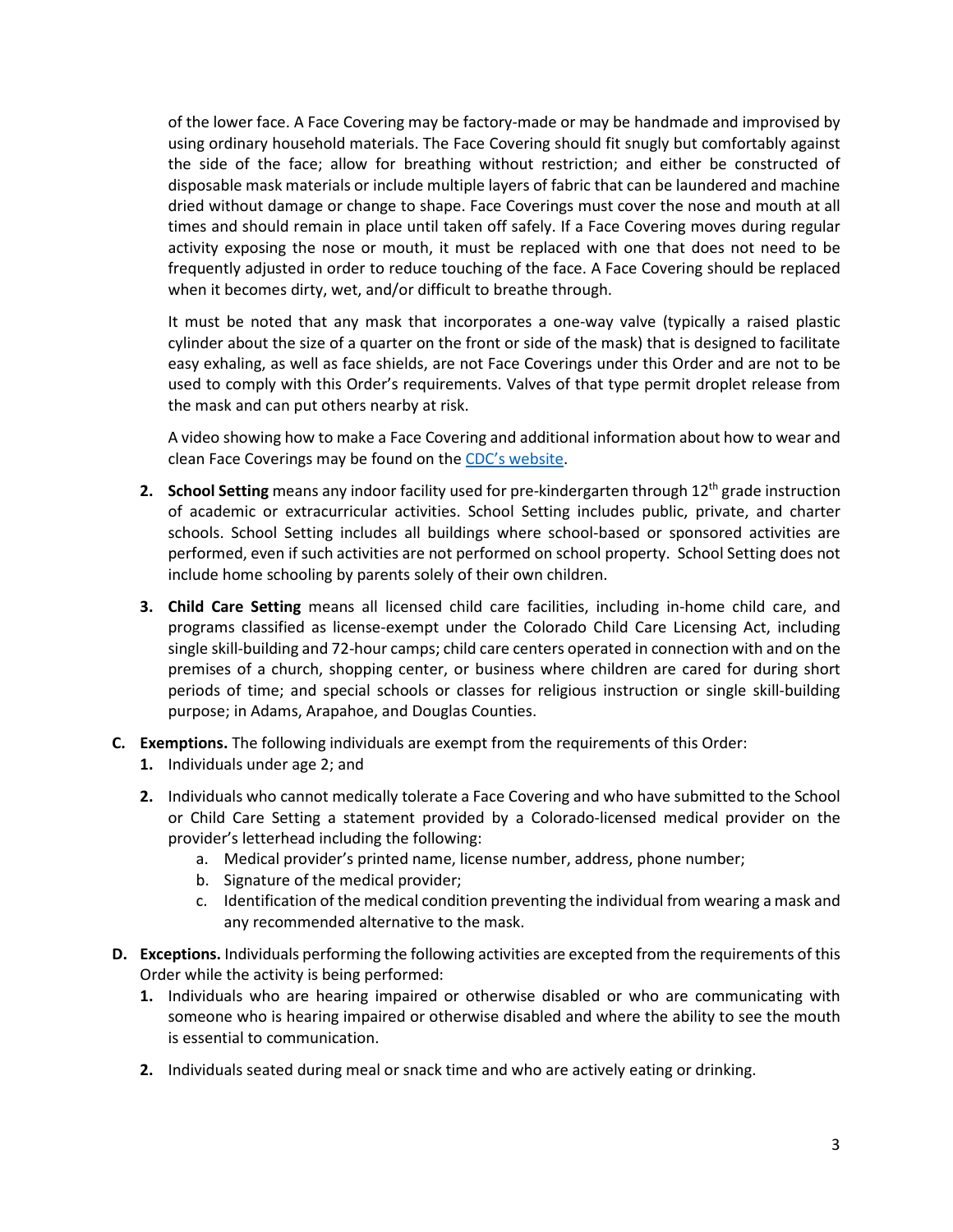of the lower face. A Face Covering may be factory-made or may be handmade and improvised by using ordinary household materials. The Face Covering should fit snugly but comfortably against the side of the face; allow for breathing without restriction; and either be constructed of disposable mask materials or include multiple layers of fabric that can be laundered and machine dried without damage or change to shape. Face Coverings must cover the nose and mouth at all times and should remain in place until taken off safely. If a Face Covering moves during regular activity exposing the nose or mouth, it must be replaced with one that does not need to be frequently adjusted in order to reduce touching of the face. A Face Covering should be replaced when it becomes dirty, wet, and/or difficult to breathe through.

It must be noted that any mask that incorporates a one-way valve (typically a raised plastic cylinder about the size of a quarter on the front or side of the mask) that is designed to facilitate easy exhaling, as well as face shields, are not Face Coverings under this Order and are not to be used to comply with this Order's requirements. Valves of that type permit droplet release from the mask and can put others nearby at risk.

A video showing how to make a Face Covering and additional information about how to wear and clean Face Coverings may be found on the [CDC's website.](https://www.cdc.gov/coronavirus/2019-ncov/prevent-getting-sick/diy-cloth-facecoverings.html)

- **2. School Setting** means any indoor facility used for pre-kindergarten through 12<sup>th</sup> grade instruction of academic or extracurricular activities. School Setting includes public, private, and charter schools. School Setting includes all buildings where school-based or sponsored activities are performed, even if such activities are not performed on school property. School Setting does not include home schooling by parents solely of their own children.
- **3. Child Care Setting** means all licensed child care facilities, including in-home child care, and programs classified as license-exempt under the Colorado Child Care Licensing Act, including single skill-building and 72-hour camps; child care centers operated in connection with and on the premises of a church, shopping center, or business where children are cared for during short periods of time; and special schools or classes for religious instruction or single skill-building purpose; in Adams, Arapahoe, and Douglas Counties.
- **C. Exemptions.** The following individuals are exempt from the requirements of this Order:
	- **1.** Individuals under age 2; and
	- **2.** Individuals who cannot medically tolerate a Face Covering and who have submitted to the School or Child Care Setting a statement provided by a Colorado-licensed medical provider on the provider's letterhead including the following:
		- a. Medical provider's printed name, license number, address, phone number;
		- b. Signature of the medical provider;
		- c. Identification of the medical condition preventing the individual from wearing a mask and any recommended alternative to the mask.
- **D. Exceptions.** Individuals performing the following activities are excepted from the requirements of this Order while the activity is being performed:
	- **1.** Individuals who are hearing impaired or otherwise disabled or who are communicating with someone who is hearing impaired or otherwise disabled and where the ability to see the mouth is essential to communication.
	- **2.** Individuals seated during meal or snack time and who are actively eating or drinking.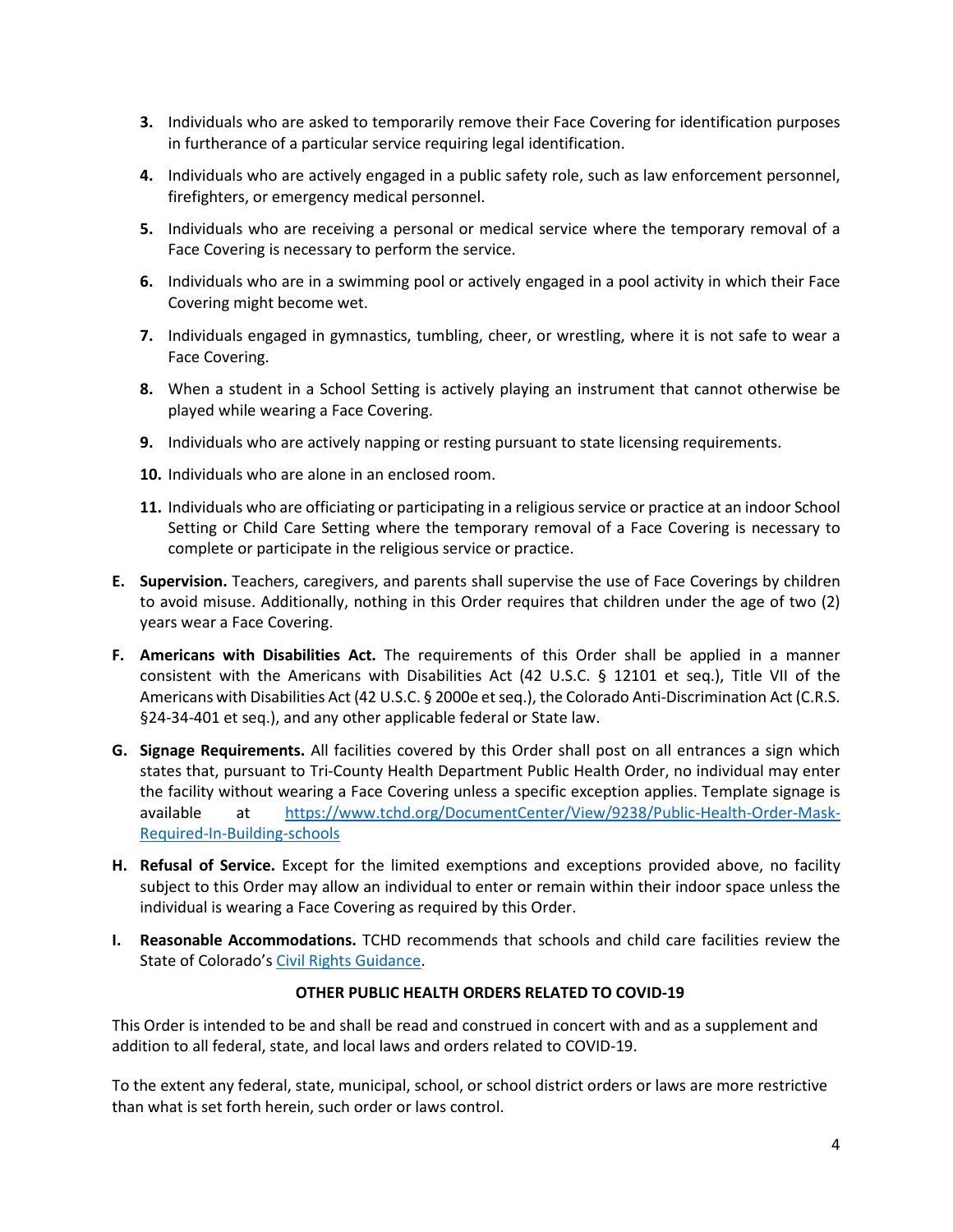- **3.** Individuals who are asked to temporarily remove their Face Covering for identification purposes in furtherance of a particular service requiring legal identification.
- **4.** Individuals who are actively engaged in a public safety role, such as law enforcement personnel, firefighters, or emergency medical personnel.
- **5.** Individuals who are receiving a personal or medical service where the temporary removal of a Face Covering is necessary to perform the service.
- **6.** Individuals who are in a swimming pool or actively engaged in a pool activity in which their Face Covering might become wet.
- **7.** Individuals engaged in gymnastics, tumbling, cheer, or wrestling, where it is not safe to wear a Face Covering.
- **8.** When a student in a School Setting is actively playing an instrument that cannot otherwise be played while wearing a Face Covering.
- **9.** Individuals who are actively napping or resting pursuant to state licensing requirements.
- **10.** Individuals who are alone in an enclosed room.
- **11.** Individuals who are officiating or participating in a religious service or practice at an indoor School Setting or Child Care Setting where the temporary removal of a Face Covering is necessary to complete or participate in the religious service or practice.
- **E. Supervision.** Teachers, caregivers, and parents shall supervise the use of Face Coverings by children to avoid misuse. Additionally, nothing in this Order requires that children under the age of two (2) years wear a Face Covering.
- **F. Americans with Disabilities Act.** The requirements of this Order shall be applied in a manner consistent with the Americans with Disabilities Act (42 U.S.C. § 12101 et seq.), Title VII of the Americans with Disabilities Act (42 U.S.C. § 2000e et seq.), the Colorado Anti-Discrimination Act (C.R.S. §24-34-401 et seq.), and any other applicable federal or State law.
- **G. Signage Requirements.** All facilities covered by this Order shall post on all entrances a sign which states that, pursuant to Tri-County Health Department Public Health Order, no individual may enter the facility without wearing a Face Covering unless a specific exception applies. Template signage is available at [https://www.tchd.org/DocumentCenter/View/9238/Public-Health-Order-Mask-](https://www.tchd.org/DocumentCenter/View/9238/Public-Health-Order-Mask-Required-In-Building-schools)[Required-In-Building-schools](https://www.tchd.org/DocumentCenter/View/9238/Public-Health-Order-Mask-Required-In-Building-schools)
- **H. Refusal of Service.** Except for the limited exemptions and exceptions provided above, no facility subject to this Order may allow an individual to enter or remain within their indoor space unless the individual is wearing a Face Covering as required by this Order.
- **I. Reasonable Accommodations.** TCHD recommends that schools and child care facilities review the State of Colorado'[s Civil Rights Guidance.](https://drive.google.com/file/d/1DSJuV-9finS1_NBnQ8i_02PHQDDIWXRn/view)

## **OTHER PUBLIC HEALTH ORDERS RELATED TO COVID-19**

This Order is intended to be and shall be read and construed in concert with and as a supplement and addition to all federal, state, and local laws and orders related to COVID-19.

To the extent any federal, state, municipal, school, or school district orders or laws are more restrictive than what is set forth herein, such order or laws control.